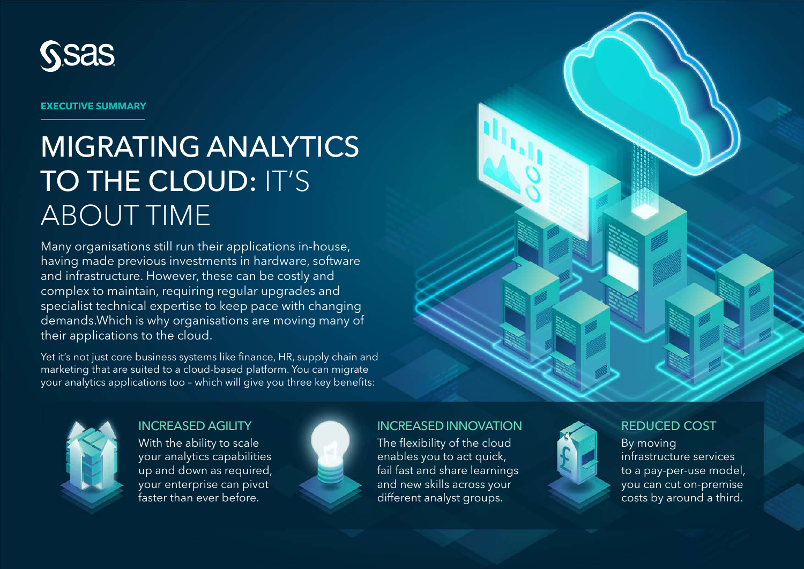

**EXECUTIVE SUMMARY**

# MIGRATING ANALYTICS TO THE CLOUD: IT'S ABOUT TIME

Many organisations still run their applications in-house, having made previous investments in hardware, software and infrastructure. However, these can be costly and complex to maintain, requiring regular upgrades and specialist technical expertise to keep pace with changing demands.Which is why organisations are moving many of their applications to the cloud.

Yet it's not just core business systems like finance, HR, supply chain and marketing that are suited to a cloud-based platform. You can migrate your analytics applications too – which will give you three key benefits:



INCREASED AGILITY With the ability to scale your analytics capabilities up and down as required, your enterprise can pivot faster than ever before.



#### INCREASED INNOVATION

The flexibility of the cloud enables you to act quick, fail fast and share learnings and new skills across your different analyst groups.



#### REDUCED COST

By moving infrastructure services to a pay-per-use model, you can cut on-premise costs by around a third.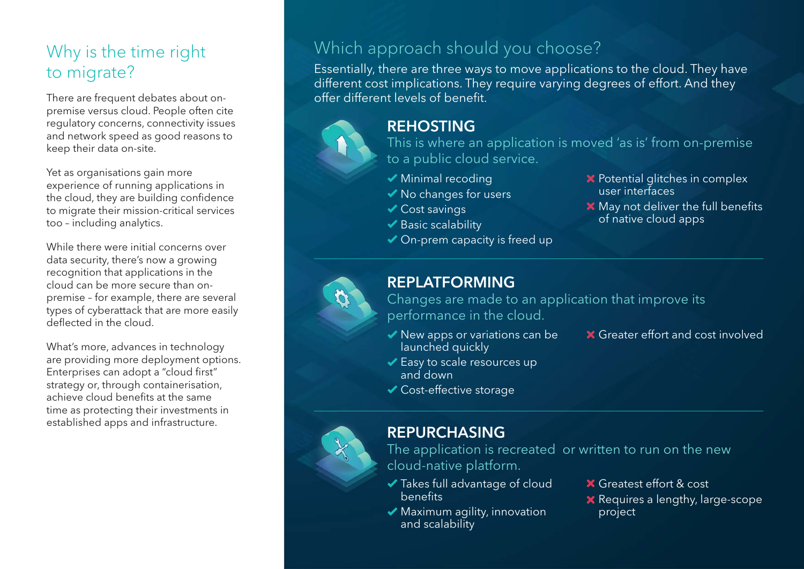### Why is the time right to migrate?

There are frequent debates about onpremise versus cloud. People often cite regulatory concerns, connectivity issues and network speed as good reasons to keep their data on-site.

Yet as organisations gain more experience of running applications in the cloud, they are building confidence to migrate their mission-critical services too – including analytics.

While there were initial concerns over data security, there's now a growing recognition that applications in the cloud can be more secure than onpremise – for example, there are several types of cyberattack that are more easily deflected in the cloud.

What's more, advances in technology are providing more deployment options. Enterprises can adopt a "cloud first" strategy or, through containerisation, achieve cloud benefits at the same time as protecting their investments in established apps and infrastructure.

#### Which approach should you choose?

Essentially, there are three ways to move applications to the cloud. They have different cost implications. They require varying degrees of effort. And they offer different levels of benefit.

# REHOSTING

This is where an application is moved 'as is' from on-premise to a public cloud service.

- ◆ Minimal recoding
- ◆ No changes for users
- **◆ Cost savings**
- $\blacktriangleright$  Basic scalability
- ◆ On-prem capacity is freed up
- $\mathsf{\times}$  Potential glitches in complex user interfaces
- **X** May not deliver the full benefits of native cloud apps

#### REPLATFORMING

Changes are made to an application that improve its performance in the cloud.

- ◆ New apps or variations can be launched quickly
- **X** Greater effort and cost involved
- Easy to scale resources up
	- and down
- Cost-effective storage



#### REPURCHASING

The application is recreated or written to run on the new cloud-native platform.

- Takes full advantage of cloud benefits
- Maximum agility, innovation and scalability
- Greatest effort & cost
- **X** Requires a lengthy, large-scope project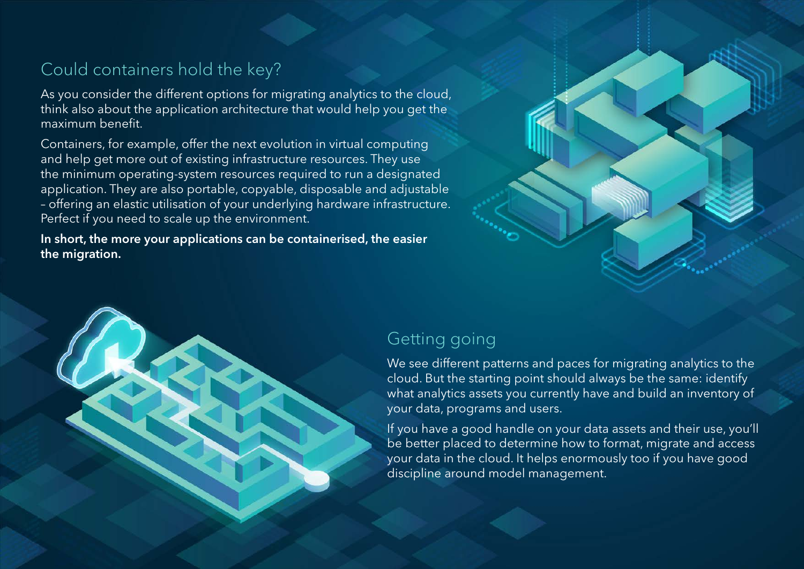## Could containers hold the key?

As you consider the different options for migrating analytics to the cloud, think also about the application architecture that would help you get the maximum benefit.

Containers, for example, offer the next evolution in virtual computing and help get more out of existing infrastructure resources. They use the minimum operating-system resources required to run a designated application. They are also portable, copyable, disposable and adjustable – offering an elastic utilisation of your underlying hardware infrastructure. Perfect if you need to scale up the environment.

In short, the more your applications can be containerised, the easier the migration.





#### Getting going

We see different patterns and paces for migrating analytics to the cloud. But the starting point should always be the same: identify what analytics assets you currently have and build an inventory of your data, programs and users.

If you have a good handle on your data assets and their use, you'll be better placed to determine how to format, migrate and access your data in the cloud. It helps enormously too if you have good discipline around model management.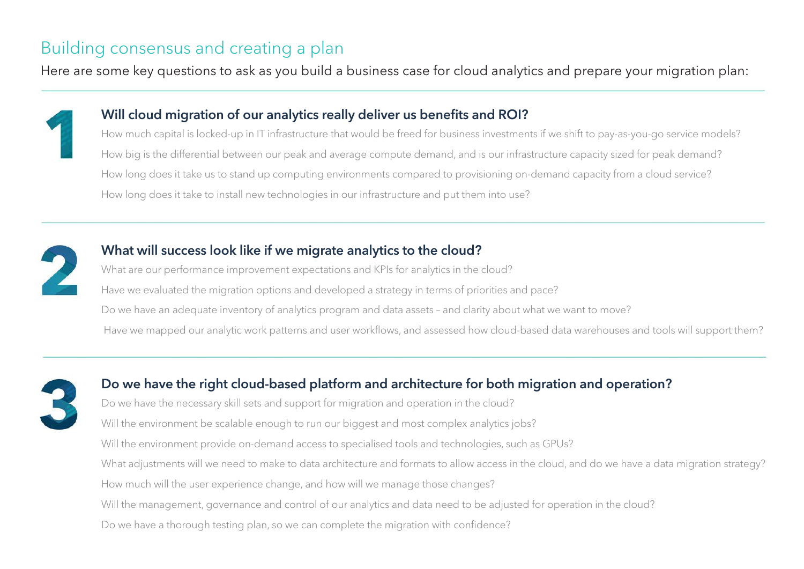#### Building consensus and creating a plan

Here are some key questions to ask as you build a business case for cloud analytics and prepare your migration plan:



#### Will cloud migration of our analytics really deliver us benefits and ROI?

How much capital is locked-up in IT infrastructure that would be freed for business investments if we shift to pay-as-you-go service models? How big is the differential between our peak and average compute demand, and is our infrastructure capacity sized for peak demand? How long does it take us to stand up computing environments compared to provisioning on-demand capacity from a cloud service? How long does it take to install new technologies in our infrastructure and put them into use?



#### What will success look like if we migrate analytics to the cloud?

What are our performance improvement expectations and KPIs for analytics in the cloud? Have we evaluated the migration options and developed a strategy in terms of priorities and pace? Do we have an adequate inventory of analytics program and data assets – and clarity about what we want to move? Have we mapped our analytic work patterns and user workflows, and assessed how cloud-based data warehouses and tools will support them?



#### Do we have the right cloud-based platform and architecture for both migration and operation?

Do we have the necessary skill sets and support for migration and operation in the cloud? Will the environment be scalable enough to run our biggest and most complex analytics jobs? Will the environment provide on-demand access to specialised tools and technologies, such as GPUs? What adjustments will we need to make to data architecture and formats to allow access in the cloud, and do we have a data migration strategy? How much will the user experience change, and how will we manage those changes? Will the management, governance and control of our analytics and data need to be adjusted for operation in the cloud? Do we have a thorough testing plan, so we can complete the migration with confidence?